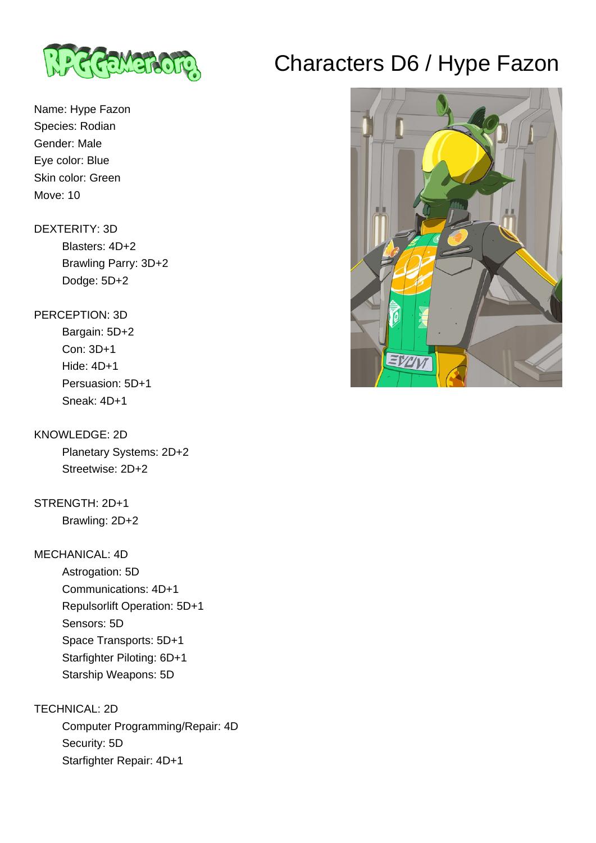

# Characters D6 / Hype Fazon

## Name: Hype Fazon Species: Rodian Gender: Male Eye color: Blue Skin color: Green Move: 10

### DEXTERITY: 3D

 Blasters: 4D+2 Brawling Parry: 3D+2 Dodge: 5D+2

### PERCEPTION: 3D

 Bargain: 5D+2 Con: 3D+1 Hide: 4D+1 Persuasion: 5D+1 Sneak: 4D+1

### KNOWLEDGE: 2D

 Planetary Systems: 2D+2 Streetwise: 2D+2

# STRENGTH: 2D+1

Brawling: 2D+2

### MECHANICAL: 4D

 Astrogation: 5D Communications: 4D+1 Repulsorlift Operation: 5D+1 Sensors: 5D Space Transports: 5D+1 Starfighter Piloting: 6D+1 Starship Weapons: 5D

### TECHNICAL: 2D Computer Programming/Repair: 4D Security: 5D Starfighter Repair: 4D+1

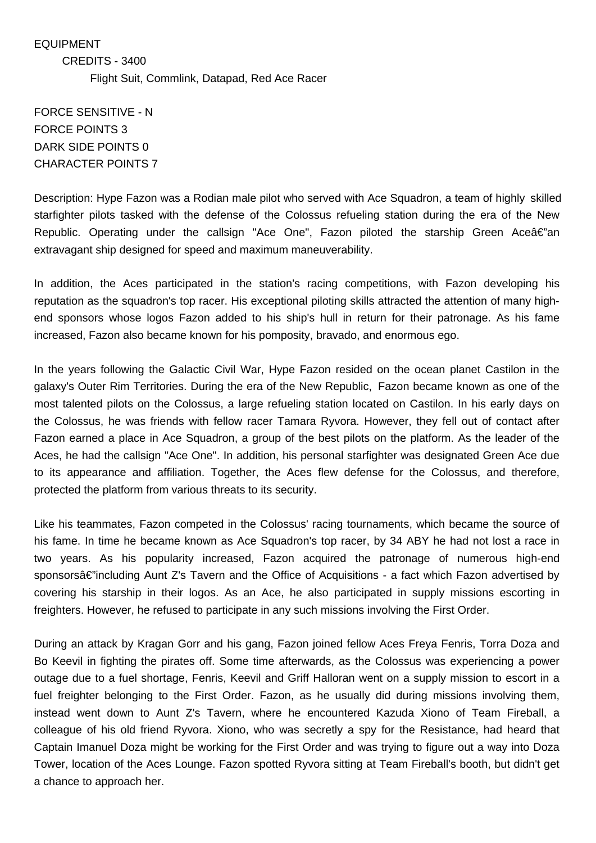EQUIPMENT CREDITS - 3400 Flight Suit, Commlink, Datapad, Red Ace Racer

FORCE SENSITIVE - N FORCE POINTS 3 DARK SIDE POINTS 0 CHARACTER POINTS 7

Description: Hype Fazon was a Rodian male pilot who served with Ace Squadron, a team of highly skilled starfighter pilots tasked with the defense of the Colossus refueling station during the era of the New Republic. Operating under the callsign "Ace One", Fazon piloted the starship Green Ace $\hat{\bf z}$ e"an extravagant ship designed for speed and maximum maneuverability.

In addition, the Aces participated in the station's racing competitions, with Fazon developing his reputation as the squadron's top racer. His exceptional piloting skills attracted the attention of many highend sponsors whose logos Fazon added to his ship's hull in return for their patronage. As his fame increased, Fazon also became known for his pomposity, bravado, and enormous ego.

In the years following the Galactic Civil War, Hype Fazon resided on the ocean planet Castilon in the galaxy's Outer Rim Territories. During the era of the New Republic, Fazon became known as one of the most talented pilots on the Colossus, a large refueling station located on Castilon. In his early days on the Colossus, he was friends with fellow racer Tamara Ryvora. However, they fell out of contact after Fazon earned a place in Ace Squadron, a group of the best pilots on the platform. As the leader of the Aces, he had the callsign "Ace One". In addition, his personal starfighter was designated Green Ace due to its appearance and affiliation. Together, the Aces flew defense for the Colossus, and therefore, protected the platform from various threats to its security.

Like his teammates, Fazon competed in the Colossus' racing tournaments, which became the source of his fame. In time he became known as Ace Squadron's top racer, by 34 ABY he had not lost a race in two years. As his popularity increased, Fazon acquired the patronage of numerous high-end sponsorsâ€"including Aunt Z's Tavern and the Office of Acquisitions - a fact which Fazon advertised by covering his starship in their logos. As an Ace, he also participated in supply missions escorting in freighters. However, he refused to participate in any such missions involving the First Order.

During an attack by Kragan Gorr and his gang, Fazon joined fellow Aces Freya Fenris, Torra Doza and Bo Keevil in fighting the pirates off. Some time afterwards, as the Colossus was experiencing a power outage due to a fuel shortage, Fenris, Keevil and Griff Halloran went on a supply mission to escort in a fuel freighter belonging to the First Order. Fazon, as he usually did during missions involving them, instead went down to Aunt Z's Tavern, where he encountered Kazuda Xiono of Team Fireball, a colleague of his old friend Ryvora. Xiono, who was secretly a spy for the Resistance, had heard that Captain Imanuel Doza might be working for the First Order and was trying to figure out a way into Doza Tower, location of the Aces Lounge. Fazon spotted Ryvora sitting at Team Fireball's booth, but didn't get a chance to approach her.